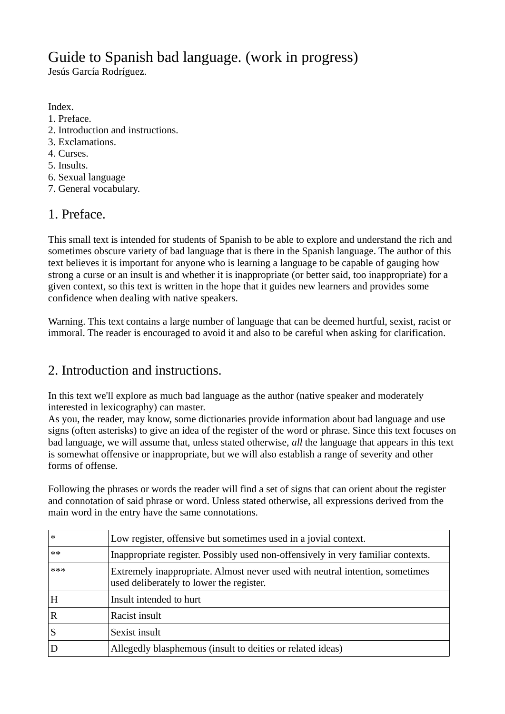# Guide to Spanish bad language. (work in progress)

Jesús García Rodríguez.

Index.

- 1. Preface.
- 2. Introduction and instructions.
- 3. Exclamations.
- 4. Curses.
- 5. Insults.
- 6. Sexual language
- 7. General vocabulary.

## 1. Preface.

This small text is intended for students of Spanish to be able to explore and understand the rich and sometimes obscure variety of bad language that is there in the Spanish language. The author of this text believes it is important for anyone who is learning a language to be capable of gauging how strong a curse or an insult is and whether it is inappropriate (or better said, too inappropriate) for a given context, so this text is written in the hope that it guides new learners and provides some confidence when dealing with native speakers.

Warning. This text contains a large number of language that can be deemed hurtful, sexist, racist or immoral. The reader is encouraged to avoid it and also to be careful when asking for clarification.

# 2. Introduction and instructions.

In this text we'll explore as much bad language as the author (native speaker and moderately interested in lexicography) can master.

As you, the reader, may know, some dictionaries provide information about bad language and use signs (often asterisks) to give an idea of the register of the word or phrase. Since this text focuses on bad language, we will assume that, unless stated otherwise, *all* the language that appears in this text is somewhat offensive or inappropriate, but we will also establish a range of severity and other forms of offense.

Following the phrases or words the reader will find a set of signs that can orient about the register and connotation of said phrase or word. Unless stated otherwise, all expressions derived from the main word in the entry have the same connotations.

| $\ast$      | Low register, offensive but sometimes used in a jovial context.                                                          |
|-------------|--------------------------------------------------------------------------------------------------------------------------|
| $**$        | Inappropriate register. Possibly used non-offensively in very familiar contexts.                                         |
| ***         | Extremely inappropriate. Almost never used with neutral intention, sometimes<br>used deliberately to lower the register. |
| H           | Insult intended to hurt                                                                                                  |
| $\mathbf R$ | Racist insult                                                                                                            |
| S           | Sexist insult                                                                                                            |
|             | Allegedly blasphemous (insult to deities or related ideas)                                                               |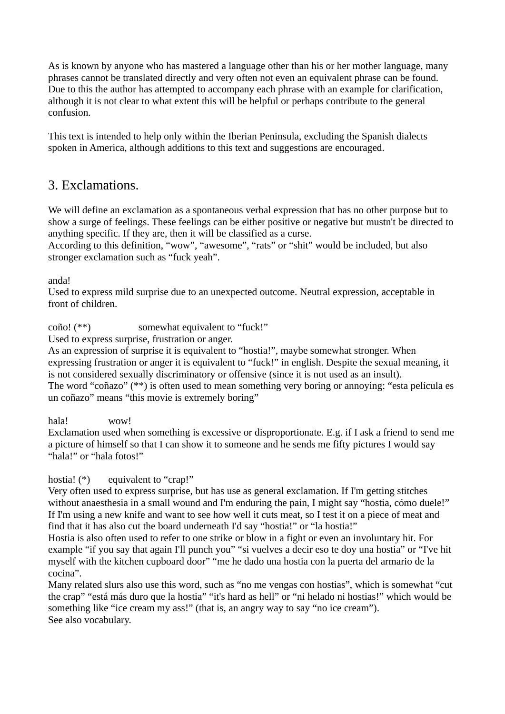As is known by anyone who has mastered a language other than his or her mother language, many phrases cannot be translated directly and very often not even an equivalent phrase can be found. Due to this the author has attempted to accompany each phrase with an example for clarification, although it is not clear to what extent this will be helpful or perhaps contribute to the general confusion.

This text is intended to help only within the Iberian Peninsula, excluding the Spanish dialects spoken in America, although additions to this text and suggestions are encouraged.

## 3. Exclamations.

We will define an exclamation as a spontaneous verbal expression that has no other purpose but to show a surge of feelings. These feelings can be either positive or negative but mustn't be directed to anything specific. If they are, then it will be classified as a curse.

According to this definition, "wow", "awesome", "rats" or "shit" would be included, but also stronger exclamation such as "fuck yeah".

anda!

Used to express mild surprise due to an unexpected outcome. Neutral expression, acceptable in front of children.

coño! (\*\*) somewhat equivalent to "fuck!"

Used to express surprise, frustration or anger.

As an expression of surprise it is equivalent to "hostia!", maybe somewhat stronger. When expressing frustration or anger it is equivalent to "fuck!" in english. Despite the sexual meaning, it is not considered sexually discriminatory or offensive (since it is not used as an insult). The word "coñazo" (\*\*) is often used to mean something very boring or annoying: "esta película es un coñazo" means "this movie is extremely boring"

hala! wow!

Exclamation used when something is excessive or disproportionate. E.g. if I ask a friend to send me a picture of himself so that I can show it to someone and he sends me fifty pictures I would say "hala!" or "hala fotos!"

#### hostia! (\*) equivalent to "crap!"

Very often used to express surprise, but has use as general exclamation. If I'm getting stitches without anaesthesia in a small wound and I'm enduring the pain, I might say "hostia, cómo duele!" If I'm using a new knife and want to see how well it cuts meat, so I test it on a piece of meat and find that it has also cut the board underneath I'd say "hostia!" or "la hostia!"

Hostia is also often used to refer to one strike or blow in a fight or even an involuntary hit. For example "if you say that again I'll punch you" "si vuelves a decir eso te doy una hostia" or "I've hit myself with the kitchen cupboard door" "me he dado una hostia con la puerta del armario de la cocina".

Many related slurs also use this word, such as "no me vengas con hostias", which is somewhat "cut the crap" "está más duro que la hostia" "it's hard as hell" or "ni helado ni hostias!" which would be something like "ice cream my ass!" (that is, an angry way to say "no ice cream"). See also vocabulary.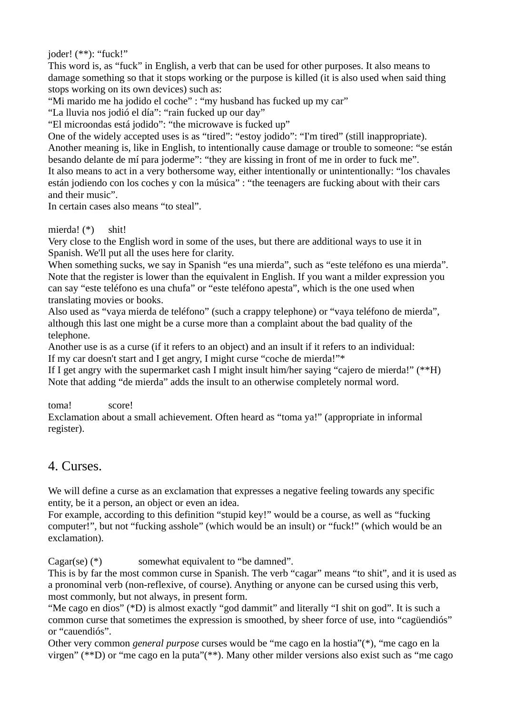joder! (\*\*): "fuck!"

This word is, as "fuck" in English, a verb that can be used for other purposes. It also means to damage something so that it stops working or the purpose is killed (it is also used when said thing stops working on its own devices) such as:

"Mi marido me ha jodido el coche" : "my husband has fucked up my car"

"La lluvia nos jodió el día": "rain fucked up our day"

"El microondas está jodido": "the microwave is fucked up"

One of the widely accepted uses is as "tired": "estoy jodido": "I'm tired" (still inappropriate). Another meaning is, like in English, to intentionally cause damage or trouble to someone: "se están besando delante de mí para joderme": "they are kissing in front of me in order to fuck me". It also means to act in a very bothersome way, either intentionally or unintentionally: "los chavales están jodiendo con los coches y con la música" : "the teenagers are fucking about with their cars and their music".

In certain cases also means "to steal".

mierda! (\*) shit!

Very close to the English word in some of the uses, but there are additional ways to use it in Spanish. We'll put all the uses here for clarity.

When something sucks, we say in Spanish "es una mierda", such as "este teléfono es una mierda". Note that the register is lower than the equivalent in English. If you want a milder expression you can say "este teléfono es una chufa" or "este teléfono apesta", which is the one used when translating movies or books.

Also used as "vaya mierda de teléfono" (such a crappy telephone) or "vaya teléfono de mierda", although this last one might be a curse more than a complaint about the bad quality of the telephone.

Another use is as a curse (if it refers to an object) and an insult if it refers to an individual: If my car doesn't start and I get angry, I might curse "coche de mierda!"\*

If I get angry with the supermarket cash I might insult him/her saying "cajero de mierda!" (\*\*H) Note that adding "de mierda" adds the insult to an otherwise completely normal word.

toma! score!

Exclamation about a small achievement. Often heard as "toma ya!" (appropriate in informal register).

#### 4. Curses.

We will define a curse as an exclamation that expresses a negative feeling towards any specific entity, be it a person, an object or even an idea.

For example, according to this definition "stupid key!" would be a course, as well as "fucking computer!", but not "fucking asshole" (which would be an insult) or "fuck!" (which would be an exclamation).

Cagar(se) (\*) somewhat equivalent to "be damned".

This is by far the most common curse in Spanish. The verb "cagar" means "to shit", and it is used as a pronominal verb (non-reflexive, of course). Anything or anyone can be cursed using this verb, most commonly, but not always, in present form.

"Me cago en dios" (\*D) is almost exactly "god dammit" and literally "I shit on god". It is such a common curse that sometimes the expression is smoothed, by sheer force of use, into "cagüendiós" or "cauendiós".

Other very common *general purpose* curses would be "me cago en la hostia"(\*), "me cago en la virgen" (\*\*D) or "me cago en la puta"(\*\*). Many other milder versions also exist such as "me cago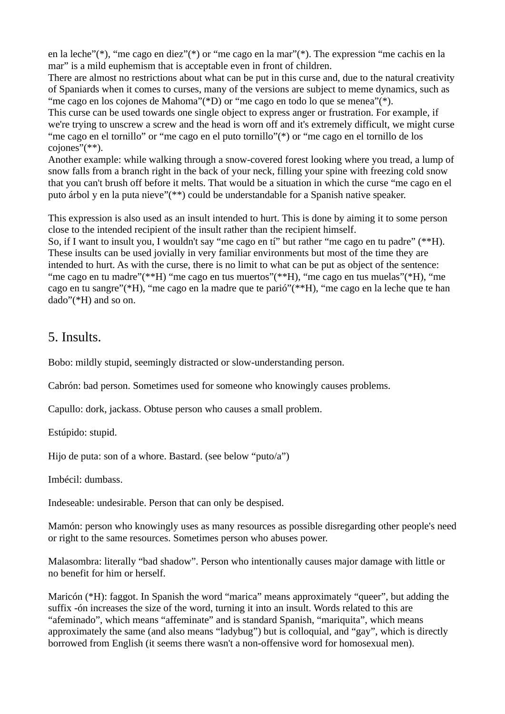en la leche"(\*), "me cago en diez"(\*) or "me cago en la mar"(\*). The expression "me cachis en la mar" is a mild euphemism that is acceptable even in front of children.

There are almost no restrictions about what can be put in this curse and, due to the natural creativity of Spaniards when it comes to curses, many of the versions are subject to meme dynamics, such as "me cago en los cojones de Mahoma"(\*D) or "me cago en todo lo que se menea"(\*).

This curse can be used towards one single object to express anger or frustration. For example, if we're trying to unscrew a screw and the head is worn off and it's extremely difficult, we might curse "me cago en el tornillo" or "me cago en el puto tornillo"(\*) or "me cago en el tornillo de los cojones"(\*\*).

Another example: while walking through a snow-covered forest looking where you tread, a lump of snow falls from a branch right in the back of your neck, filling your spine with freezing cold snow that you can't brush off before it melts. That would be a situation in which the curse "me cago en el puto árbol y en la puta nieve"(\*\*) could be understandable for a Spanish native speaker.

This expression is also used as an insult intended to hurt. This is done by aiming it to some person close to the intended recipient of the insult rather than the recipient himself.

So, if I want to insult you, I wouldn't say "me cago en tí" but rather "me cago en tu padre" (\*\*H). These insults can be used jovially in very familiar environments but most of the time they are intended to hurt. As with the curse, there is no limit to what can be put as object of the sentence: "me cago en tu madre"(\*\*H) "me cago en tus muertos"(\*\*H), "me cago en tus muelas"(\*H), "me cago en tu sangre"(\*H), "me cago en la madre que te parió"(\*\*H), "me cago en la leche que te han dado"(\*H) and so on.

#### 5. Insults.

Bobo: mildly stupid, seemingly distracted or slow-understanding person.

Cabrón: bad person. Sometimes used for someone who knowingly causes problems.

Capullo: dork, jackass. Obtuse person who causes a small problem.

Estúpido: stupid.

Hijo de puta: son of a whore. Bastard. (see below "puto/a")

Imbécil: dumbass.

Indeseable: undesirable. Person that can only be despised.

Mamón: person who knowingly uses as many resources as possible disregarding other people's need or right to the same resources. Sometimes person who abuses power.

Malasombra: literally "bad shadow". Person who intentionally causes major damage with little or no benefit for him or herself.

Maricón (\*H): faggot. In Spanish the word "marica" means approximately "queer", but adding the suffix -ón increases the size of the word, turning it into an insult. Words related to this are "afeminado", which means "affeminate" and is standard Spanish, "mariquita", which means approximately the same (and also means "ladybug") but is colloquial, and "gay", which is directly borrowed from English (it seems there wasn't a non-offensive word for homosexual men).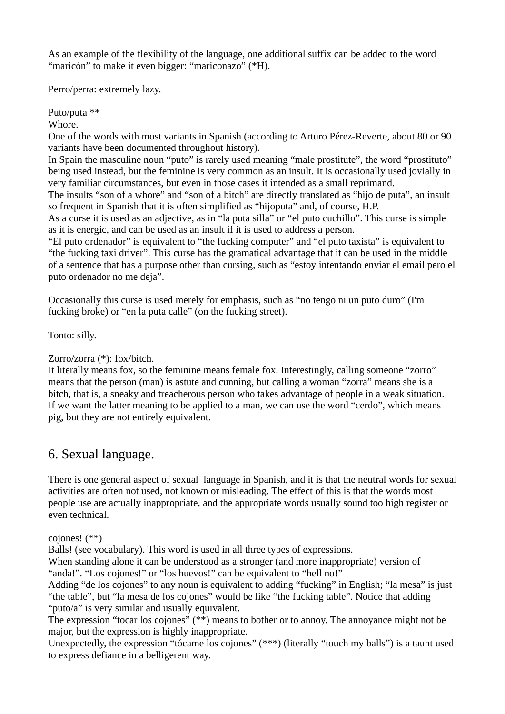As an example of the flexibility of the language, one additional suffix can be added to the word "maricón" to make it even bigger: "mariconazo" (\*H).

Perro/perra: extremely lazy.

Puto/puta \*\*

Whore.

One of the words with most variants in Spanish (according to Arturo Pérez-Reverte, about 80 or 90 variants have been documented throughout history).

In Spain the masculine noun "puto" is rarely used meaning "male prostitute", the word "prostituto" being used instead, but the feminine is very common as an insult. It is occasionally used jovially in very familiar circumstances, but even in those cases it intended as a small reprimand.

The insults "son of a whore" and "son of a bitch" are directly translated as "hijo de puta", an insult so frequent in Spanish that it is often simplified as "hijoputa" and, of course, H.P.

As a curse it is used as an adjective, as in "la puta silla" or "el puto cuchillo". This curse is simple as it is energic, and can be used as an insult if it is used to address a person.

"El puto ordenador" is equivalent to "the fucking computer" and "el puto taxista" is equivalent to "the fucking taxi driver". This curse has the gramatical advantage that it can be used in the middle of a sentence that has a purpose other than cursing, such as "estoy intentando enviar el email pero el puto ordenador no me deja".

Occasionally this curse is used merely for emphasis, such as "no tengo ni un puto duro" (I'm fucking broke) or "en la puta calle" (on the fucking street).

Tonto: silly.

#### Zorro/zorra (\*): fox/bitch.

It literally means fox, so the feminine means female fox. Interestingly, calling someone "zorro" means that the person (man) is astute and cunning, but calling a woman "zorra" means she is a bitch, that is, a sneaky and treacherous person who takes advantage of people in a weak situation. If we want the latter meaning to be applied to a man, we can use the word "cerdo", which means pig, but they are not entirely equivalent.

## 6. Sexual language.

There is one general aspect of sexual language in Spanish, and it is that the neutral words for sexual activities are often not used, not known or misleading. The effect of this is that the words most people use are actually inappropriate, and the appropriate words usually sound too high register or even technical.

cojones! (\*\*)

Balls! (see vocabulary). This word is used in all three types of expressions.

When standing alone it can be understood as a stronger (and more inappropriate) version of "anda!". "Los cojones!" or "los huevos!" can be equivalent to "hell no!"

Adding "de los cojones" to any noun is equivalent to adding "fucking" in English; "la mesa" is just "the table", but "la mesa de los cojones" would be like "the fucking table". Notice that adding "puto/a" is very similar and usually equivalent.

The expression "tocar los cojones" (\*\*) means to bother or to annoy. The annoyance might not be major, but the expression is highly inappropriate.

Unexpectedly, the expression "tócame los cojones" (\*\*\*) (literally "touch my balls") is a taunt used to express defiance in a belligerent way.